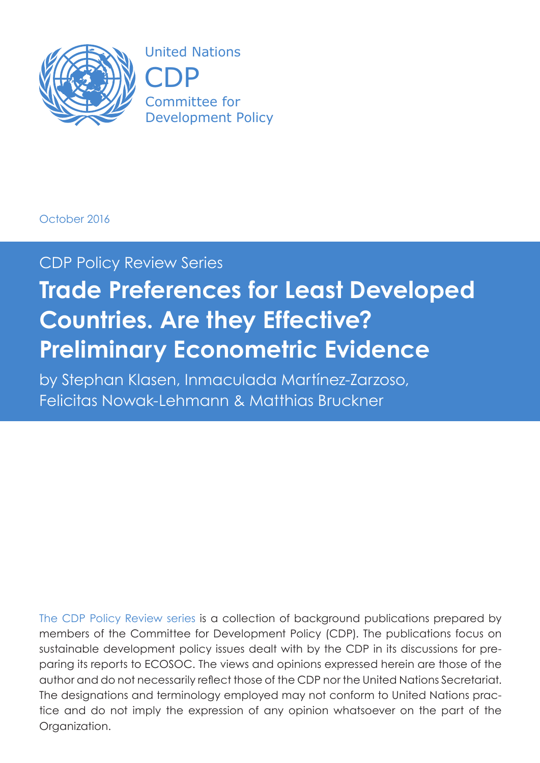

United Nations CDP) Committee for Development Policy

### October 2016

## CDP Policy Review Series

# **Trade Preferences for Least Developed Countries. Are they Effective? Preliminary Econometric Evidence**

by Stephan Klasen, Inmaculada Martínez-Zarzoso, Felicitas Nowak-Lehmann & Matthias Bruckner

The CDP Policy Review series is a collection of background publications prepared by members of the Committee for Development Policy (CDP). The publications focus on sustainable development policy issues dealt with by the CDP in its discussions for preparing its reports to ECOSOC. The views and opinions expressed herein are those of the author and do not necessarily reflect those of the CDP nor the United Nations Secretariat. The designations and terminology employed may not conform to United Nations practice and do not imply the expression of any opinion whatsoever on the part of the Organization.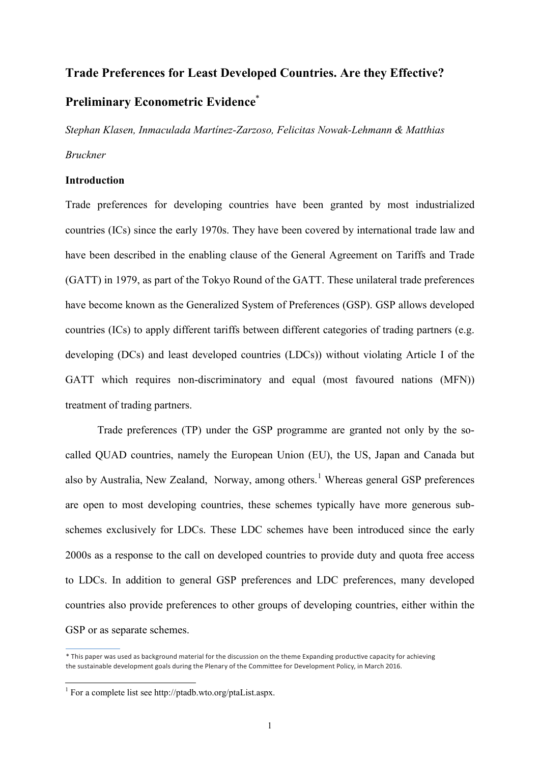## **Trade Preferences for Least Developed Countries. Are they Effective? Preliminary Econometric Evidence \***

*Stephan Klasen, Inmaculada Martínez-Zarzoso, Felicitas Nowak-Lehmann & Matthias Bruckner*

#### **Introduction**

Trade preferences for developing countries have been granted by most industrialized countries (ICs) since the early 1970s. They have been covered by international trade law and have been described in the enabling clause of the General Agreement on Tariffs and Trade (GATT) in 1979, as part of the Tokyo Round of the GATT. These unilateral trade preferences have become known as the Generalized System of Preferences (GSP). GSP allows developed countries (ICs) to apply different tariffs between different categories of trading partners (e.g. developing (DCs) and least developed countries (LDCs)) without violating Article I of the GATT which requires non-discriminatory and equal (most favoured nations (MFN)) treatment of trading partners.

Trade preferences (TP) under the GSP programme are granted not only by the socalled QUAD countries, namely the European Union (EU), the US, Japan and Canada but also by Australia, New Zealand, Norway, among others.<sup>1</sup> Whereas general GSP preferences are open to most developing countries, these schemes typically have more generous subschemes exclusively for LDCs. These LDC schemes have been introduced since the early 2000s as a response to the call on developed countries to provide duty and quota free access to LDCs. In addition to general GSP preferences and LDC preferences, many developed countries also provide preferences to other groups of developing countries, either within the GSP or as separate schemes.

<sup>\*</sup> This paper was used as background material for the discussion on the theme Expanding productive capacity for achieving the sustainable development goals during the Plenary of the Committee for Development Policy, in March 2016.

<sup>1</sup> For a complete list see http://ptadb.wto.org/ptaList.aspx.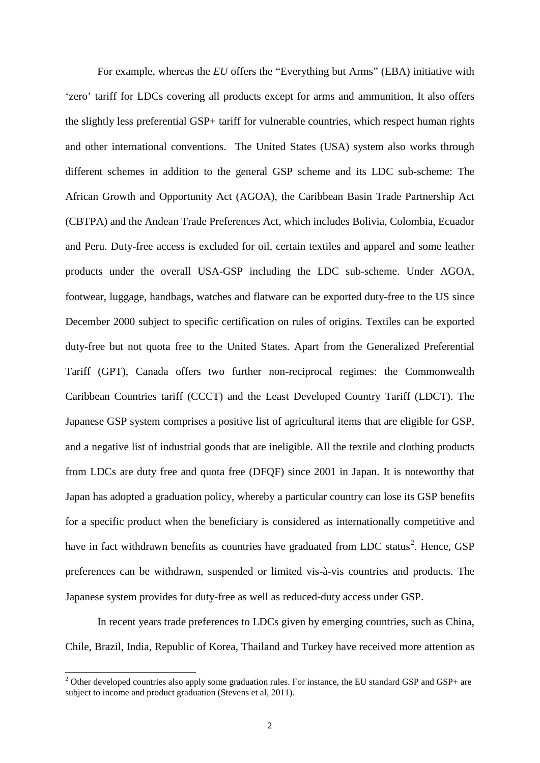For example, whereas the *EU* offers the "Everything but Arms" (EBA) initiative with 'zero' tariff for LDCs covering all products except for arms and ammunition, It also offers the slightly less preferential GSP+ tariff for vulnerable countries, which respect human rights and other international conventions. The United States (USA) system also works through different schemes in addition to the general GSP scheme and its LDC sub-scheme: The African Growth and Opportunity Act (AGOA), the Caribbean Basin Trade Partnership Act (CBTPA) and the Andean Trade Preferences Act, which includes Bolivia, Colombia, Ecuador and Peru. Duty-free access is excluded for oil, certain textiles and apparel and some leather products under the overall USA-GSP including the LDC sub-scheme. Under AGOA, footwear, luggage, handbags, watches and flatware can be exported duty-free to the US since December 2000 subject to specific certification on rules of origins. Textiles can be exported duty-free but not quota free to the United States. Apart from the Generalized Preferential Tariff (GPT), Canada offers two further non-reciprocal regimes: the Commonwealth Caribbean Countries tariff (CCCT) and the Least Developed Country Tariff (LDCT). The Japanese GSP system comprises a positive list of agricultural items that are eligible for GSP, and a negative list of industrial goods that are ineligible. All the textile and clothing products from LDCs are duty free and quota free (DFQF) since 2001 in Japan. It is noteworthy that Japan has adopted a graduation policy, whereby a particular country can lose its GSP benefits for a specific product when the beneficiary is considered as internationally competitive and have in fact withdrawn benefits as countries have graduated from LDC status<sup>[2](#page-2-0)</sup>. Hence, GSP preferences can be withdrawn, suspended or limited vis-à-vis countries and products. The Japanese system provides for duty-free as well as reduced-duty access under GSP.

In recent years trade preferences to LDCs given by emerging countries, such as China, Chile, Brazil, India, Republic of Korea, Thailand and Turkey have received more attention as

<span id="page-2-0"></span> $2$  Other developed countries also apply some graduation rules. For instance, the EU standard GSP and GSP+ are subject to income and product graduation (Stevens et al, 2011).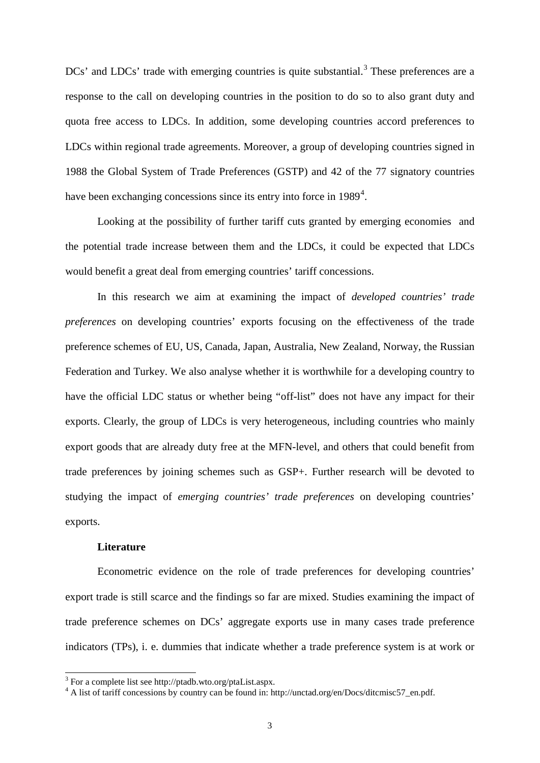$DCs'$  and  $LDCs'$  trade with emerging countries is quite substantial.<sup>[3](#page-3-0)</sup> These preferences are a response to the call on developing countries in the position to do so to also grant duty and quota free access to LDCs. In addition, some developing countries accord preferences to LDCs within regional trade agreements. Moreover, a group of developing countries signed in 1988 the Global System of Trade Preferences (GSTP) and 42 of the 77 signatory countries have been exchanging concessions since its entry into force in  $1989<sup>4</sup>$  $1989<sup>4</sup>$  $1989<sup>4</sup>$ .

Looking at the possibility of further tariff cuts granted by emerging economies and the potential trade increase between them and the LDCs, it could be expected that LDCs would benefit a great deal from emerging countries' tariff concessions.

In this research we aim at examining the impact of *developed countries' trade preferences* on developing countries' exports focusing on the effectiveness of the trade preference schemes of EU, US, Canada, Japan, Australia, New Zealand, Norway, the Russian Federation and Turkey. We also analyse whether it is worthwhile for a developing country to have the official LDC status or whether being "off-list" does not have any impact for their exports. Clearly, the group of LDCs is very heterogeneous, including countries who mainly export goods that are already duty free at the MFN-level, and others that could benefit from trade preferences by joining schemes such as GSP+. Further research will be devoted to studying the impact of *emerging countries' trade preferences* on developing countries' exports.

#### **Literature**

Econometric evidence on the role of trade preferences for developing countries' export trade is still scarce and the findings so far are mixed. Studies examining the impact of trade preference schemes on DCs' aggregate exports use in many cases trade preference indicators (TPs), i. e. dummies that indicate whether a trade preference system is at work or

 <sup>3</sup> For a complete list see http://ptadb.wto.org/ptaList.aspx.

<span id="page-3-1"></span><span id="page-3-0"></span><sup>&</sup>lt;sup>4</sup> A list of tariff concessions by country can be found in: http://unctad.org/en/Docs/ditcmisc57\_en.pdf.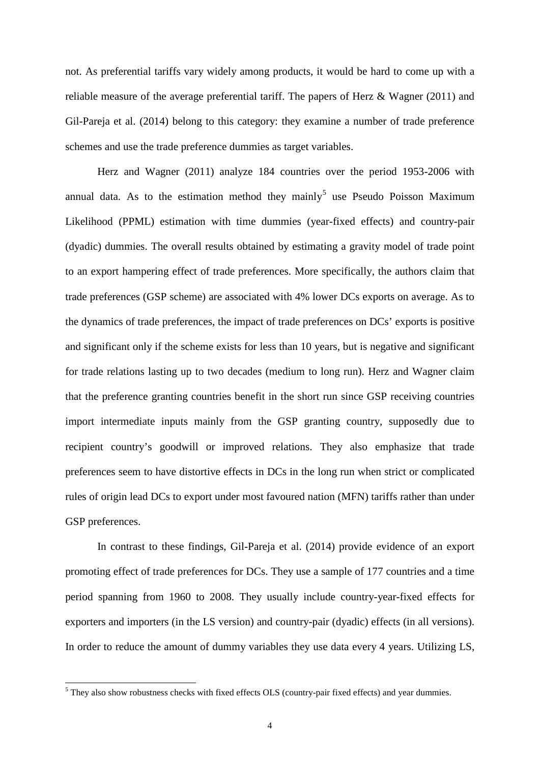not. As preferential tariffs vary widely among products, it would be hard to come up with a reliable measure of the average preferential tariff. The papers of Herz & Wagner (2011) and Gil-Pareja et al. (2014) belong to this category: they examine a number of trade preference schemes and use the trade preference dummies as target variables.

Herz and Wagner (2011) analyze 184 countries over the period 1953-2006 with annual data. As to the estimation method they mainly<sup>[5](#page-4-0)</sup> use Pseudo Poisson Maximum Likelihood (PPML) estimation with time dummies (year-fixed effects) and country-pair (dyadic) dummies. The overall results obtained by estimating a gravity model of trade point to an export hampering effect of trade preferences. More specifically, the authors claim that trade preferences (GSP scheme) are associated with 4% lower DCs exports on average. As to the dynamics of trade preferences, the impact of trade preferences on DCs' exports is positive and significant only if the scheme exists for less than 10 years, but is negative and significant for trade relations lasting up to two decades (medium to long run). Herz and Wagner claim that the preference granting countries benefit in the short run since GSP receiving countries import intermediate inputs mainly from the GSP granting country, supposedly due to recipient country's goodwill or improved relations. They also emphasize that trade preferences seem to have distortive effects in DCs in the long run when strict or complicated rules of origin lead DCs to export under most favoured nation (MFN) tariffs rather than under GSP preferences.

In contrast to these findings, Gil-Pareja et al. (2014) provide evidence of an export promoting effect of trade preferences for DCs. They use a sample of 177 countries and a time period spanning from 1960 to 2008. They usually include country-year-fixed effects for exporters and importers (in the LS version) and country-pair (dyadic) effects (in all versions). In order to reduce the amount of dummy variables they use data every 4 years. Utilizing LS,

<span id="page-4-0"></span> <sup>5</sup> They also show robustness checks with fixed effects OLS (country-pair fixed effects) and year dummies.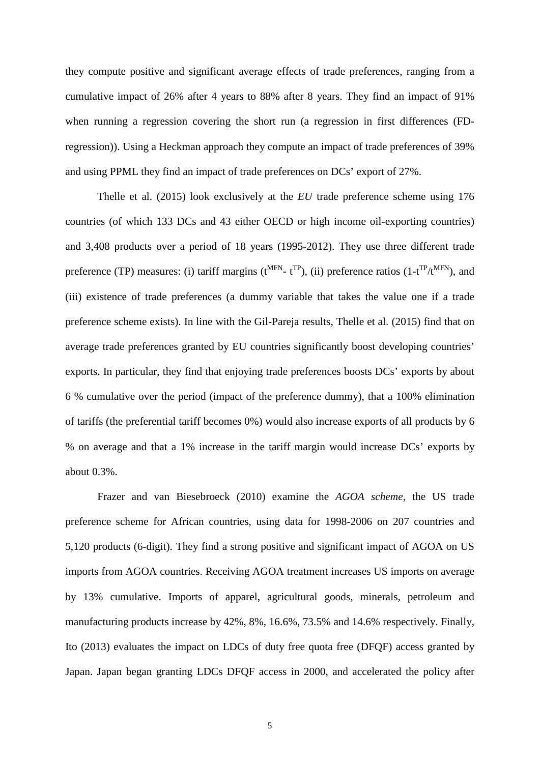they compute positive and significant average effects of trade preferences, ranging from a cumulative impact of 26% after 4 years to 88% after 8 years. They find an impact of 91% when running a regression covering the short run (a regression in first differences (FDregression)). Using a Heckman approach they compute an impact of trade preferences of 39% and using PPML they find an impact of trade preferences on DCs' export of 27%.

Thelle et al. (2015) look exclusively at the *EU* trade preference scheme using 176 countries (of which 133 DCs and 43 either OECD or high income oil-exporting countries) and 3,408 products over a period of 18 years (1995-2012). They use three different trade preference (TP) measures: (i) tariff margins ( $t^{MFN}$ -  $t^{TP}$ ), (ii) preference ratios (1- $t^{TP}/t^{MFN}$ ), and (iii) existence of trade preferences (a dummy variable that takes the value one if a trade preference scheme exists). In line with the Gil-Pareja results, Thelle et al. (2015) find that on average trade preferences granted by EU countries significantly boost developing countries' exports. In particular, they find that enjoying trade preferences boosts DCs' exports by about 6 % cumulative over the period (impact of the preference dummy), that a 100% elimination of tariffs (the preferential tariff becomes 0%) would also increase exports of all products by 6 % on average and that a 1% increase in the tariff margin would increase DCs' exports by about 0.3%.

Frazer and van Biesebroeck (2010) examine the *AGOA scheme*, the US trade preference scheme for African countries, using data for 1998-2006 on 207 countries and 5,120 products (6-digit). They find a strong positive and significant impact of AGOA on US imports from AGOA countries. Receiving AGOA treatment increases US imports on average by 13% cumulative. Imports of apparel, agricultural goods, minerals, petroleum and manufacturing products increase by 42%, 8%, 16.6%, 73.5% and 14.6% respectively. Finally, Ito (2013) evaluates the impact on LDCs of duty free quota free (DFQF) access granted by Japan. Japan began granting LDCs DFQF access in 2000, and accelerated the policy after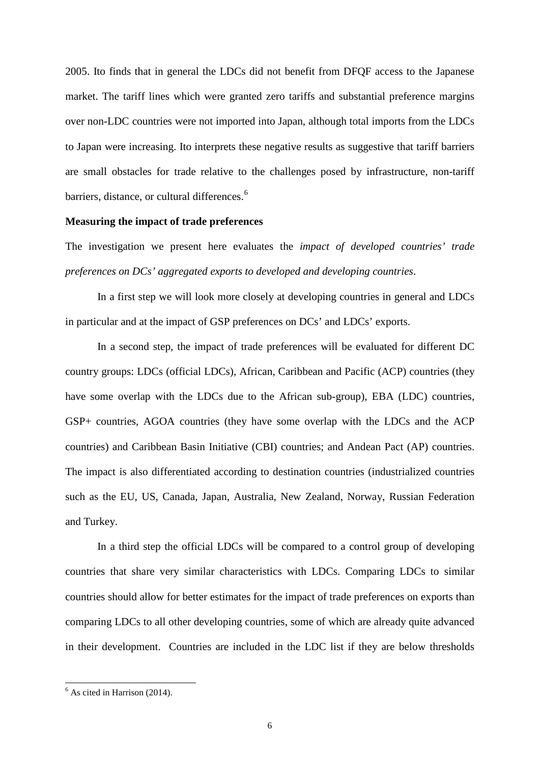2005. Ito finds that in general the LDCs did not benefit from DFQF access to the Japanese market. The tariff lines which were granted zero tariffs and substantial preference margins over non-LDC countries were not imported into Japan, although total imports from the LDCs to Japan were increasing. Ito interprets these negative results as suggestive that tariff barriers are small obstacles for trade relative to the challenges posed by infrastructure, non-tariff barriers, distance, or cultural differences.<sup>[6](#page-6-0)</sup>

#### **Measuring the impact of trade preferences**

The investigation we present here evaluates the *impact of developed countries' trade preferences on DCs' aggregated exports to developed and developing countries*.

In a first step we will look more closely at developing countries in general and LDCs in particular and at the impact of GSP preferences on DCs' and LDCs' exports.

In a second step, the impact of trade preferences will be evaluated for different DC country groups: LDCs (official LDCs), African, Caribbean and Pacific (ACP) countries (they have some overlap with the LDCs due to the African sub-group), EBA (LDC) countries, GSP+ countries, AGOA countries (they have some overlap with the LDCs and the ACP countries) and Caribbean Basin Initiative (CBI) countries; and Andean Pact (AP) countries. The impact is also differentiated according to destination countries (industrialized countries such as the EU, US, Canada, Japan, Australia, New Zealand, Norway, Russian Federation and Turkey.

In a third step the official LDCs will be compared to a control group of developing countries that share very similar characteristics with LDCs. Comparing LDCs to similar countries should allow for better estimates for the impact of trade preferences on exports than comparing LDCs to all other developing countries, some of which are already quite advanced in their development. Countries are included in the LDC list if they are below thresholds

<span id="page-6-0"></span> $<sup>6</sup>$  As cited in Harrison (2014).</sup>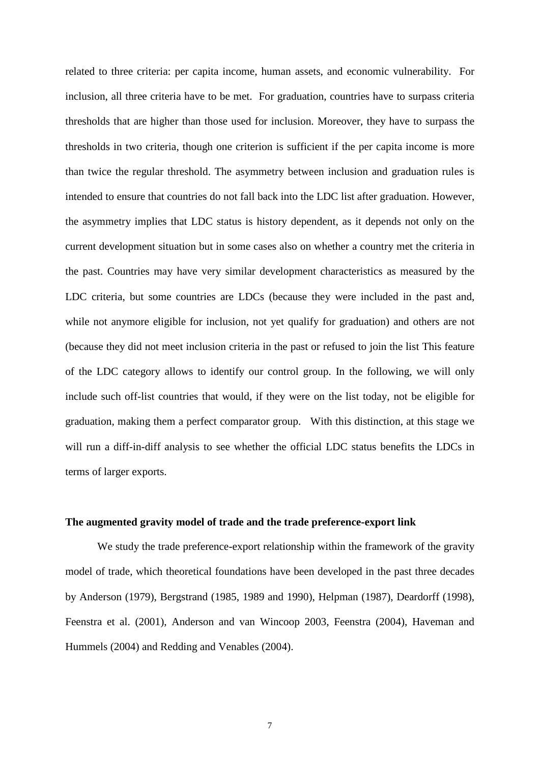related to three criteria: per capita income, human assets, and economic vulnerability. For inclusion, all three criteria have to be met. For graduation, countries have to surpass criteria thresholds that are higher than those used for inclusion. Moreover, they have to surpass the thresholds in two criteria, though one criterion is sufficient if the per capita income is more than twice the regular threshold. The asymmetry between inclusion and graduation rules is intended to ensure that countries do not fall back into the LDC list after graduation. However, the asymmetry implies that LDC status is history dependent, as it depends not only on the current development situation but in some cases also on whether a country met the criteria in the past. Countries may have very similar development characteristics as measured by the LDC criteria, but some countries are LDCs (because they were included in the past and, while not anymore eligible for inclusion, not yet qualify for graduation) and others are not (because they did not meet inclusion criteria in the past or refused to join the list This feature of the LDC category allows to identify our control group. In the following, we will only include such off-list countries that would, if they were on the list today, not be eligible for graduation, making them a perfect comparator group. With this distinction, at this stage we will run a diff-in-diff analysis to see whether the official LDC status benefits the LDCs in terms of larger exports.

#### **The augmented gravity model of trade and the trade preference-export link**

We study the trade preference-export relationship within the framework of the gravity model of trade, which theoretical foundations have been developed in the past three decades by Anderson (1979), Bergstrand (1985, 1989 and 1990), Helpman (1987), Deardorff (1998), Feenstra et al. (2001), Anderson and van Wincoop 2003, Feenstra (2004), Haveman and Hummels (2004) and Redding and Venables (2004).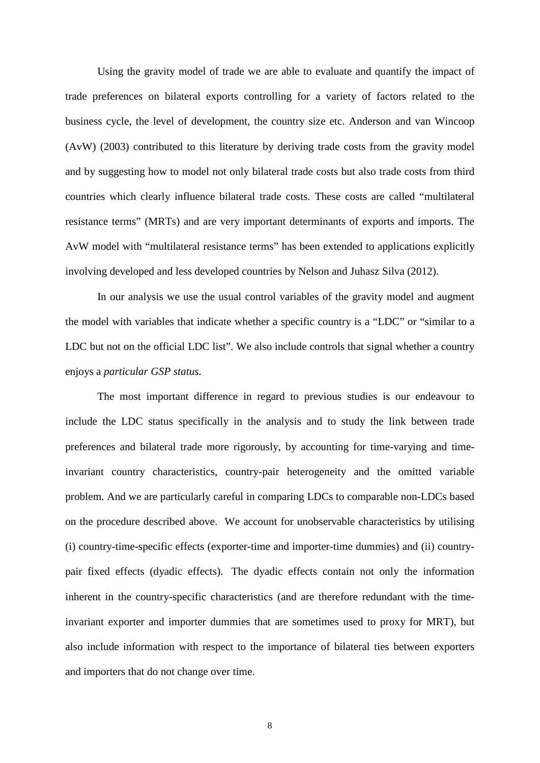Using the gravity model of trade we are able to evaluate and quantify the impact of trade preferences on bilateral exports controlling for a variety of factors related to the business cycle, the level of development, the country size etc. Anderson and van Wincoop (AvW) (2003) contributed to this literature by deriving trade costs from the gravity model and by suggesting how to model not only bilateral trade costs but also trade costs from third countries which clearly influence bilateral trade costs. These costs are called "multilateral resistance terms" (MRTs) and are very important determinants of exports and imports. The AvW model with "multilateral resistance terms" has been extended to applications explicitly involving developed and less developed countries by Nelson and Juhasz Silva (2012).

In our analysis we use the usual control variables of the gravity model and augment the model with variables that indicate whether a specific country is a "LDC" or "similar to a LDC but not on the official LDC list". We also include controls that signal whether a country enjoys a *particular GSP status.*

The most important difference in regard to previous studies is our endeavour to include the LDC status specifically in the analysis and to study the link between trade preferences and bilateral trade more rigorously, by accounting for time-varying and timeinvariant country characteristics, country-pair heterogeneity and the omitted variable problem. And we are particularly careful in comparing LDCs to comparable non-LDCs based on the procedure described above. We account for unobservable characteristics by utilising (i) country-time-specific effects (exporter-time and importer-time dummies) and (ii) countrypair fixed effects (dyadic effects). The dyadic effects contain not only the information inherent in the country-specific characteristics (and are therefore redundant with the timeinvariant exporter and importer dummies that are sometimes used to proxy for MRT), but also include information with respect to the importance of bilateral ties between exporters and importers that do not change over time.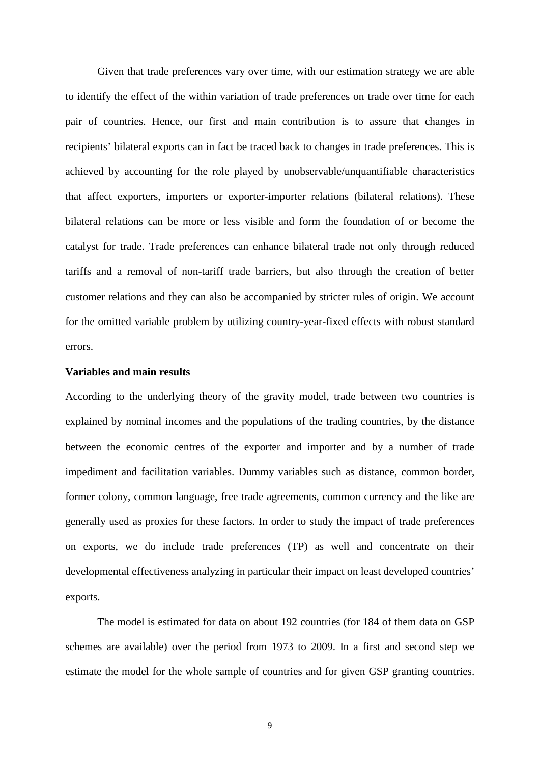Given that trade preferences vary over time, with our estimation strategy we are able to identify the effect of the within variation of trade preferences on trade over time for each pair of countries. Hence, our first and main contribution is to assure that changes in recipients' bilateral exports can in fact be traced back to changes in trade preferences. This is achieved by accounting for the role played by unobservable/unquantifiable characteristics that affect exporters, importers or exporter-importer relations (bilateral relations). These bilateral relations can be more or less visible and form the foundation of or become the catalyst for trade. Trade preferences can enhance bilateral trade not only through reduced tariffs and a removal of non-tariff trade barriers, but also through the creation of better customer relations and they can also be accompanied by stricter rules of origin. We account for the omitted variable problem by utilizing country-year-fixed effects with robust standard errors.

#### **Variables and main results**

According to the underlying theory of the gravity model, trade between two countries is explained by nominal incomes and the populations of the trading countries, by the distance between the economic centres of the exporter and importer and by a number of trade impediment and facilitation variables. Dummy variables such as distance, common border, former colony, common language, free trade agreements, common currency and the like are generally used as proxies for these factors. In order to study the impact of trade preferences on exports, we do include trade preferences (TP) as well and concentrate on their developmental effectiveness analyzing in particular their impact on least developed countries' exports.

The model is estimated for data on about 192 countries (for 184 of them data on GSP schemes are available) over the period from 1973 to 2009. In a first and second step we estimate the model for the whole sample of countries and for given GSP granting countries.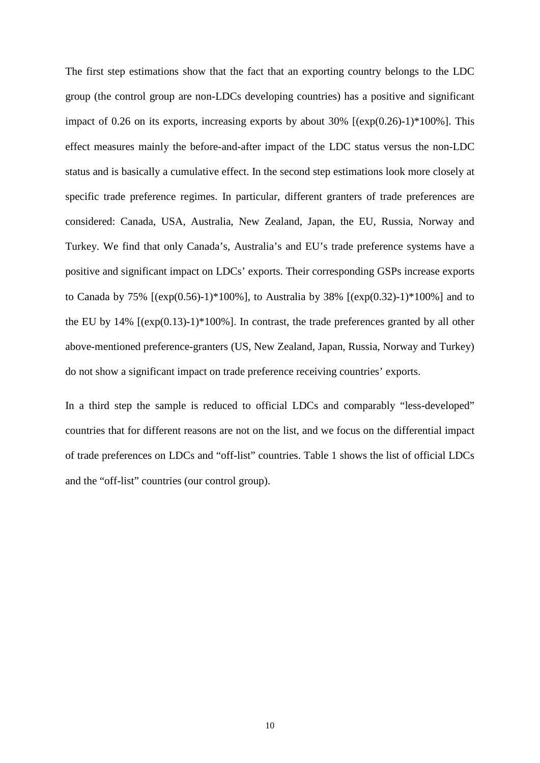The first step estimations show that the fact that an exporting country belongs to the LDC group (the control group are non-LDCs developing countries) has a positive and significant impact of 0.26 on its exports, increasing exports by about  $30\%$  [ $(exp(0.26)-1)*100\%$ ]. This effect measures mainly the before-and-after impact of the LDC status versus the non-LDC status and is basically a cumulative effect. In the second step estimations look more closely at specific trade preference regimes. In particular, different granters of trade preferences are considered: Canada, USA, Australia, New Zealand, Japan, the EU, Russia, Norway and Turkey. We find that only Canada's, Australia's and EU's trade preference systems have a positive and significant impact on LDCs' exports. Their corresponding GSPs increase exports to Canada by 75%  $[(exp(0.56)-1)*100%]$ , to Australia by 38%  $[(exp(0.32)-1)*100%]$  and to the EU by  $14\%$  [ $(exp(0.13)-1)*100\%$ ]. In contrast, the trade preferences granted by all other above-mentioned preference-granters (US, New Zealand, Japan, Russia, Norway and Turkey) do not show a significant impact on trade preference receiving countries' exports.

In a third step the sample is reduced to official LDCs and comparably "less-developed" countries that for different reasons are not on the list, and we focus on the differential impact of trade preferences on LDCs and "off-list" countries. Table 1 shows the list of official LDCs and the "off-list" countries (our control group).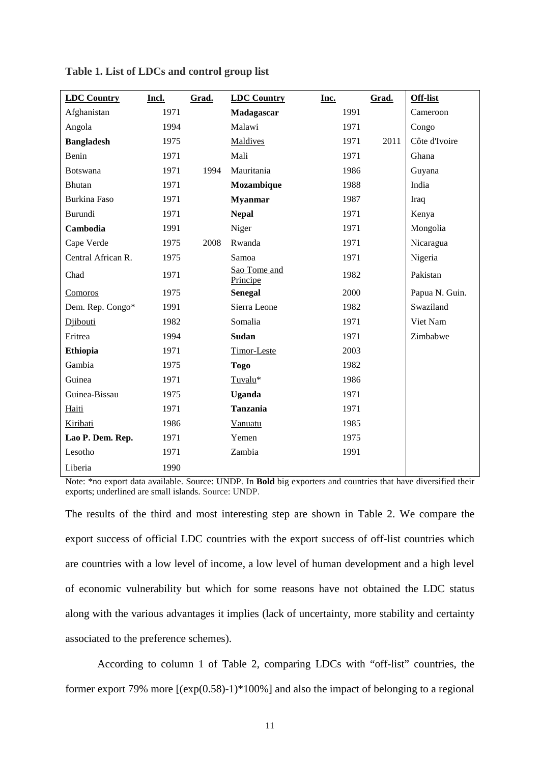| <b>LDC Country</b> | Incl. | Grad. | <b>LDC Country</b>       | Inc. | Grad. | <b>Off-list</b> |
|--------------------|-------|-------|--------------------------|------|-------|-----------------|
| Afghanistan        | 1971  |       | Madagascar               | 1991 |       | Cameroon        |
| Angola             | 1994  |       | Malawi                   | 1971 |       | Congo           |
| <b>Bangladesh</b>  | 1975  |       | Maldives                 | 1971 | 2011  | Côte d'Ivoire   |
| Benin              | 1971  |       | Mali                     | 1971 |       | Ghana           |
| Botswana           | 1971  | 1994  | Mauritania               | 1986 |       | Guyana          |
| Bhutan             | 1971  |       | Mozambique               | 1988 |       | India           |
| Burkina Faso       | 1971  |       | <b>Myanmar</b>           | 1987 |       | Iraq            |
| Burundi            | 1971  |       | <b>Nepal</b>             | 1971 |       | Kenya           |
| Cambodia           | 1991  |       | Niger                    | 1971 |       | Mongolia        |
| Cape Verde         | 1975  | 2008  | Rwanda                   | 1971 |       | Nicaragua       |
| Central African R. | 1975  |       | Samoa                    | 1971 |       | Nigeria         |
| Chad               | 1971  |       | Sao Tome and<br>Principe | 1982 |       | Pakistan        |
| Comoros            | 1975  |       | <b>Senegal</b>           | 2000 |       | Papua N. Guin.  |
| Dem. Rep. Congo*   | 1991  |       | Sierra Leone             | 1982 |       | Swaziland       |
| Diibouti           | 1982  |       | Somalia                  | 1971 |       | Viet Nam        |
| Eritrea            | 1994  |       | <b>Sudan</b>             | 1971 |       | Zimbabwe        |
| <b>Ethiopia</b>    | 1971  |       | Timor-Leste              | 2003 |       |                 |
| Gambia             | 1975  |       | <b>Togo</b>              | 1982 |       |                 |
| Guinea             | 1971  |       | Tuvalu*                  | 1986 |       |                 |
| Guinea-Bissau      | 1975  |       | <b>Uganda</b>            | 1971 |       |                 |
| Haiti              | 1971  |       | <b>Tanzania</b>          | 1971 |       |                 |
| Kiribati           | 1986  |       | Vanuatu                  | 1985 |       |                 |
| Lao P. Dem. Rep.   | 1971  |       | Yemen                    | 1975 |       |                 |
| Lesotho            | 1971  |       | Zambia                   | 1991 |       |                 |
| Liberia            | 1990  |       |                          |      |       |                 |

|  |  |  |  | Table 1. List of LDCs and control group list |
|--|--|--|--|----------------------------------------------|
|--|--|--|--|----------------------------------------------|

Note: \*no export data available. Source: UNDP. In **Bold** big exporters and countries that have diversified their exports; underlined are small islands. Source: UNDP.

The results of the third and most interesting step are shown in Table 2. We compare the export success of official LDC countries with the export success of off-list countries which are countries with a low level of income, a low level of human development and a high level of economic vulnerability but which for some reasons have not obtained the LDC status along with the various advantages it implies (lack of uncertainty, more stability and certainty associated to the preference schemes).

According to column 1 of Table 2, comparing LDCs with "off-list" countries, the former export 79% more [(exp(0.58)-1)\*100%] and also the impact of belonging to a regional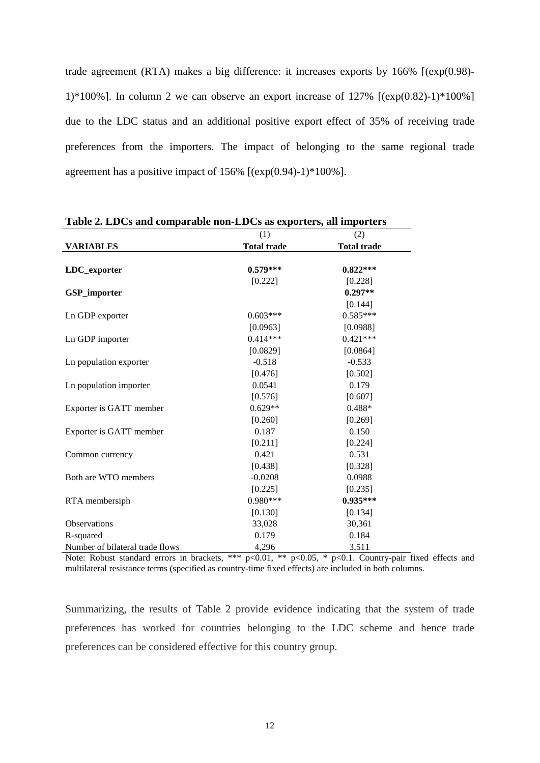trade agreement (RTA) makes a big difference: it increases exports by 166% [(exp(0.98)- 1)\*100%]. In column 2 we can observe an export increase of  $127\%$  [(exp(0.82)-1)\*100%] due to the LDC status and an additional positive export effect of 35% of receiving trade preferences from the importers. The impact of belonging to the same regional trade agreement has a positive impact of  $156\%$  [(exp(0.94)-1)\*100%].

|                                 | (1)                | (2)                |
|---------------------------------|--------------------|--------------------|
| <b>VARIABLES</b>                | <b>Total trade</b> | <b>Total trade</b> |
|                                 |                    |                    |
| LDC_exporter                    | $0.579***$         | $0.822***$         |
|                                 | [0.222]            | [0.228]            |
| <b>GSP_importer</b>             |                    | $0.297**$          |
|                                 |                    | [0.144]            |
| Ln GDP exporter                 | $0.603***$         | $0.585***$         |
|                                 | [0.0963]           | [0.0988]           |
| Ln GDP importer                 | $0.414***$         | $0.421***$         |
|                                 | [0.0829]           | [0.0864]           |
| Ln population exporter          | $-0.518$           | $-0.533$           |
|                                 | [0.476]            | [0.502]            |
| Ln population importer          | 0.0541             | 0.179              |
|                                 | [0.576]            | [0.607]            |
| Exporter is GATT member         | $0.629**$          | 0.488*             |
|                                 | [0.260]            | [0.269]            |
| Exporter is GATT member         | 0.187              | 0.150              |
|                                 | [0.211]            | [0.224]            |
| Common currency                 | 0.421              | 0.531              |
|                                 | [0.438]            | [0.328]            |
| Both are WTO members            | $-0.0208$          | 0.0988             |
|                                 | [0.225]            | [0.235]            |
| RTA membersiph                  | $0.980***$         | $0.935***$         |
|                                 | [0.130]            | [0.134]            |
| Observations                    | 33,028             | 30,361             |
| R-squared                       | 0.179              | 0.184              |
| Number of bilateral trade flows | 4,296              | 3,511              |

**Table 2. LDCs and comparable non-LDCs as exporters, all importers**

Note: Robust standard errors in brackets, \*\*\* p<0.01, \*\* p<0.05, \* p<0.1. Country-pair fixed effects and multilateral resistance terms (specified as country-time fixed effects) are included in both columns.

Summarizing, the results of Table 2 provide evidence indicating that the system of trade preferences has worked for countries belonging to the LDC scheme and hence trade preferences can be considered effective for this country group.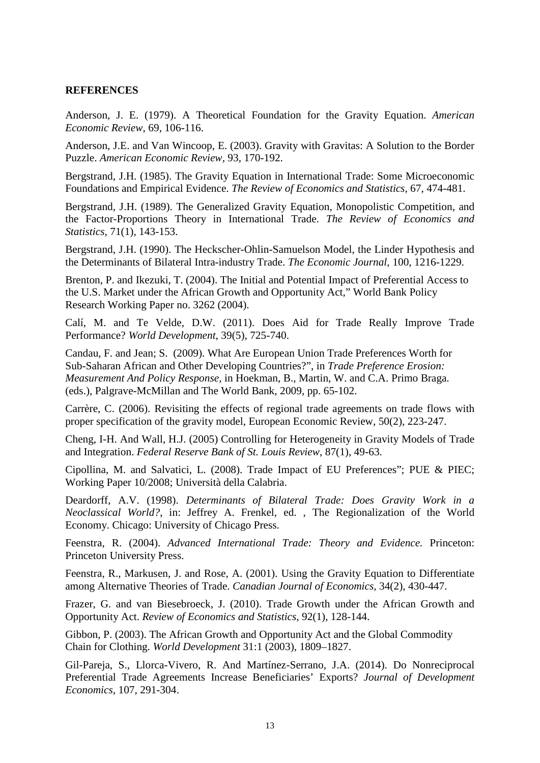#### **REFERENCES**

Anderson, J. E. (1979). A Theoretical Foundation for the Gravity Equation. *American Economic Review*, 69, 106-116.

Anderson, J.E. and Van Wincoop, E. (2003). Gravity with Gravitas: A Solution to the Border Puzzle. *American Economic Review,* 93, 170-192.

Bergstrand, J.H. (1985). The Gravity Equation in International Trade: Some Microeconomic Foundations and Empirical Evidence. *The Review of Economics and Statistics*, 67, 474-481.

Bergstrand, J.H. (1989). The Generalized Gravity Equation, Monopolistic Competition, and the Factor-Proportions Theory in International Trade. *The Review of Economics and Statistics*, 71(1), 143-153.

Bergstrand, J.H. (1990). The Heckscher-Ohlin-Samuelson Model, the Linder Hypothesis and the Determinants of Bilateral Intra-industry Trade. *The Economic Journal*, 100, 1216-1229.

Brenton, P. and Ikezuki, T. (2004). The Initial and Potential Impact of Preferential Access to the U.S. Market under the African Growth and Opportunity Act," World Bank Policy Research Working Paper no. 3262 (2004).

Calí, M. and Te Velde, D.W. (2011). Does Aid for Trade Really Improve Trade Performance? *World Development*, 39(5), 725-740.

Candau, F. and Jean; S. (2009). What Are European Union Trade Preferences Worth for Sub-Saharan African and Other Developing Countries?", in *Trade Preference Erosion: Measurement And Policy Response,* in Hoekman, B., Martin, W. and C.A. Primo Braga. (eds.), Palgrave-McMillan and The World Bank, 2009, pp. 65-102.

Carrère, C. (2006). Revisiting the effects of regional trade agreements on trade flows with proper specification of the gravity model, [European Economic Review,](http://ideas.repec.org/s/eee/eecrev.html) 50(2), 223-247.

Cheng, I-H. And Wall, H.J. (2005) Controlling for Heterogeneity in Gravity Models of Trade and Integration. *Federal Reserve Bank of St. Louis Review*, 87(1), 49-63.

Cipollina, M. and Salvatici, L. (2008). Trade Impact of EU Preferences"; PUE & PIEC; Working Paper 10/2008; Università della Calabria.

Deardorff, A.V. (1998). *Determinants of Bilateral Trade: Does Gravity Work in a Neoclassical World?*, in: Jeffrey A. Frenkel, ed. , The Regionalization of the World Economy. Chicago: University of Chicago Press.

Feenstra, R. (2004). *Advanced International Trade: Theory and Evidence.* Princeton: Princeton University Press.

Feenstra, R., Markusen, J. and Rose, A. (2001). Using the Gravity Equation to Differentiate among Alternative Theories of Trade. *Canadian Journal of Economics,* 34(2), 430-447.

Frazer, G. and van Biesebroeck, J. (2010). Trade Growth under the African Growth and Opportunity Act. *Review of Economics and Statistics*, 92(1), 128-144.

Gibbon, P. (2003). The African Growth and Opportunity Act and the Global Commodity Chain for Clothing. *World Development* 31:1 (2003), 1809–1827.

Gil-Pareja, S., Llorca-Vivero, R. And Martínez-Serrano, J.A. (2014). Do Nonreciprocal Preferential Trade Agreements Increase Beneficiaries' Exports? *Journal of Development Economics*, 107, 291-304.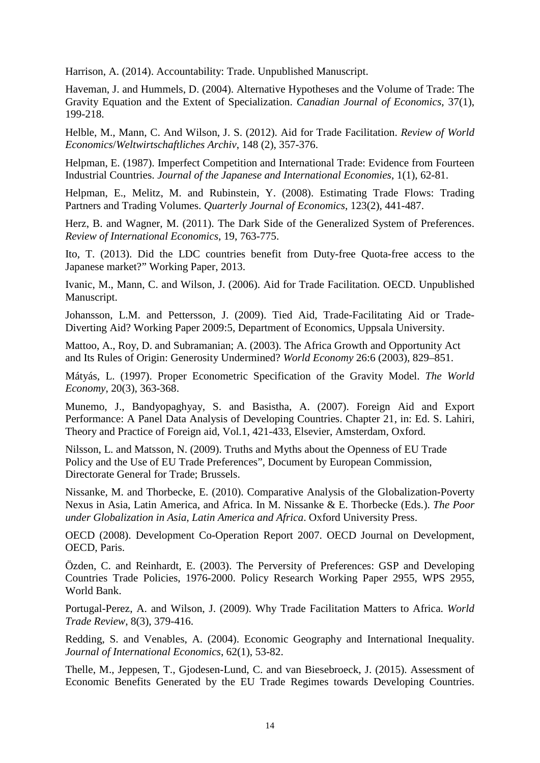Harrison, A. (2014). Accountability: Trade. Unpublished Manuscript.

Haveman, J. and Hummels, D. (2004). Alternative Hypotheses and the Volume of Trade: The Gravity Equation and the Extent of Specialization. *Canadian Journal of Economics*, 37(1), 199-218.

Helble, M., Mann, C. And Wilson, J. S. (2012). Aid for Trade Facilitation. *Review of World Economics*/*Weltwirtschaftliches Archiv*, 148 (2), 357-376.

Helpman, E. (1987). Imperfect Competition and International Trade: Evidence from Fourteen Industrial Countries. *Journal of the Japanese and International Economies*, 1(1), 62-81.

Helpman, E., Melitz, M. and Rubinstein, Y. (2008). Estimating Trade Flows: Trading Partners and Trading Volumes. *Quarterly Journal of Economics*, 123(2), 441-487.

Herz, B. and Wagner, M. (2011). The Dark Side of the Generalized System of Preferences. *Review of International Economics*, 19, 763-775.

Ito, T. (2013). Did the LDC countries benefit from Duty-free Quota-free access to the Japanese market?" Working Paper, 2013.

Ivanic, M., Mann, C. and Wilson, J. (2006). Aid for Trade Facilitation. OECD. Unpublished Manuscript.

Johansson, L.M. and Pettersson, J. (2009). Tied Aid, Trade-Facilitating Aid or Trade-Diverting Aid? Working Paper 2009:5, Department of Economics, Uppsala University.

Mattoo, A., Roy, D. and Subramanian; A. (2003). The Africa Growth and Opportunity Act and Its Rules of Origin: Generosity Undermined? *World Economy* 26:6 (2003), 829–851.

Mátyás, L. (1997). Proper Econometric Specification of the Gravity Model. *The World Economy*, 20(3), 363-368.

Munemo, J., Bandyopaghyay, S. and Basistha, A. (2007). Foreign Aid and Export Performance: A Panel Data Analysis of Developing Countries. Chapter 21, in: Ed. S. Lahiri, Theory and Practice of Foreign aid, Vol.1, 421-433, Elsevier, Amsterdam, Oxford.

Nilsson, L. and Matsson, N. (2009). Truths and Myths about the Openness of EU Trade Policy and the Use of EU Trade Preferences", Document by European Commission, Directorate General for Trade; Brussels.

Nissanke, M. and Thorbecke, E. (2010). Comparative Analysis of the Globalization-Poverty Nexus in Asia, Latin America, and Africa. In M. Nissanke & E. Thorbecke (Eds.). *The Poor under Globalization in Asia, Latin America and Africa*. Oxford University Press.

OECD (2008). Development Co-Operation Report 2007. OECD Journal on Development, OECD, Paris.

Özden, C. and Reinhardt, E. (2003). The Perversity of Preferences: GSP and Developing Countries Trade Policies, 1976-2000. Policy Research Working Paper 2955, WPS 2955, World Bank.

Portugal-Perez, A. and Wilson, J. (2009). Why Trade Facilitation Matters to Africa. *World Trade Review*, 8(3), 379-416.

Redding, S. and Venables, A. (2004). Economic Geography and International Inequality. *Journal of International Economics*, 62(1), 53-82.

Thelle, M., Jeppesen, T., Gjodesen-Lund, C. and van Biesebroeck, J. (2015). Assessment of Economic Benefits Generated by the EU Trade Regimes towards Developing Countries.